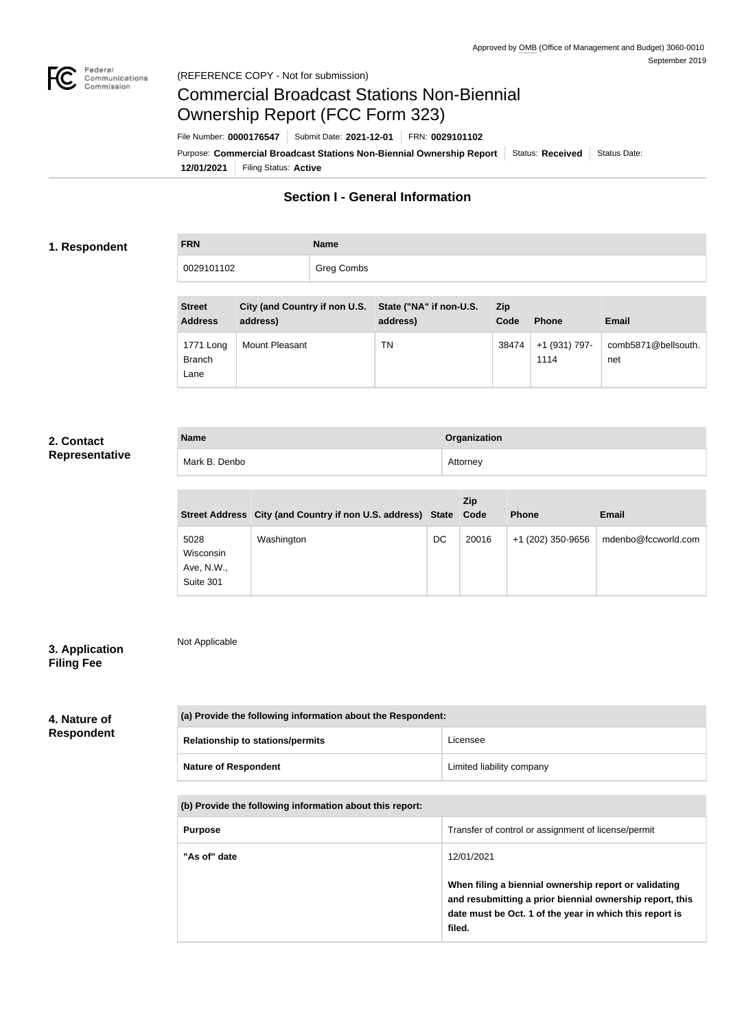

Not Applicable

# Commercial Broadcast Stations Non-Biennial Ownership Report (FCC Form 323)

**12/01/2021** Filing Status: **Active** Purpose: Commercial Broadcast Stations Non-Biennial Ownership Report Status: Received Status Date: File Number: **0000176547** Submit Date: **2021-12-01** FRN: **0029101102**

### **Section I - General Information**

#### **1. Respondent**

**FRN Name** 0029101102 | Greg Combs

| <b>Street</b><br><b>Address</b>    | City (and Country if non U.S. State ("NA" if non-U.S.<br>address) | address) | <b>Zip</b><br>Code | <b>Phone</b>          | <b>Email</b>               |
|------------------------------------|-------------------------------------------------------------------|----------|--------------------|-----------------------|----------------------------|
| 1771 Long<br><b>Branch</b><br>Lane | Mount Pleasant                                                    | TN       | 38474              | +1 (931) 797-<br>1114 | comb5871@bellsouth.<br>net |

#### **2. Contact Representative**

| <b>Name</b>   | Organization |
|---------------|--------------|
| Mark B. Denbo | Attorney     |

|                                              | Street Address City (and Country if non U.S. address) State Code |    | Zip   | <b>Phone</b>      | <b>Email</b>        |
|----------------------------------------------|------------------------------------------------------------------|----|-------|-------------------|---------------------|
| 5028<br>Wisconsin<br>Ave, N.W.,<br>Suite 301 | Washington                                                       | DC | 20016 | +1 (202) 350-9656 | mdenbo@fccworld.com |

#### **3. Application Filing Fee**

#### **4. Nature of Respondent**

| (a) Provide the following information about the Respondent: |                           |  |
|-------------------------------------------------------------|---------------------------|--|
| <b>Relationship to stations/permits</b>                     | Licensee                  |  |
| <b>Nature of Respondent</b>                                 | Limited liability company |  |

| (b) Provide the following information about this report: |  |
|----------------------------------------------------------|--|
|                                                          |  |

| <b>Purpose</b> | Transfer of control or assignment of license/permit                                                                                                                                    |
|----------------|----------------------------------------------------------------------------------------------------------------------------------------------------------------------------------------|
| "As of" date   | 12/01/2021                                                                                                                                                                             |
|                | When filing a biennial ownership report or validating<br>and resubmitting a prior biennial ownership report, this<br>date must be Oct. 1 of the year in which this report is<br>filed. |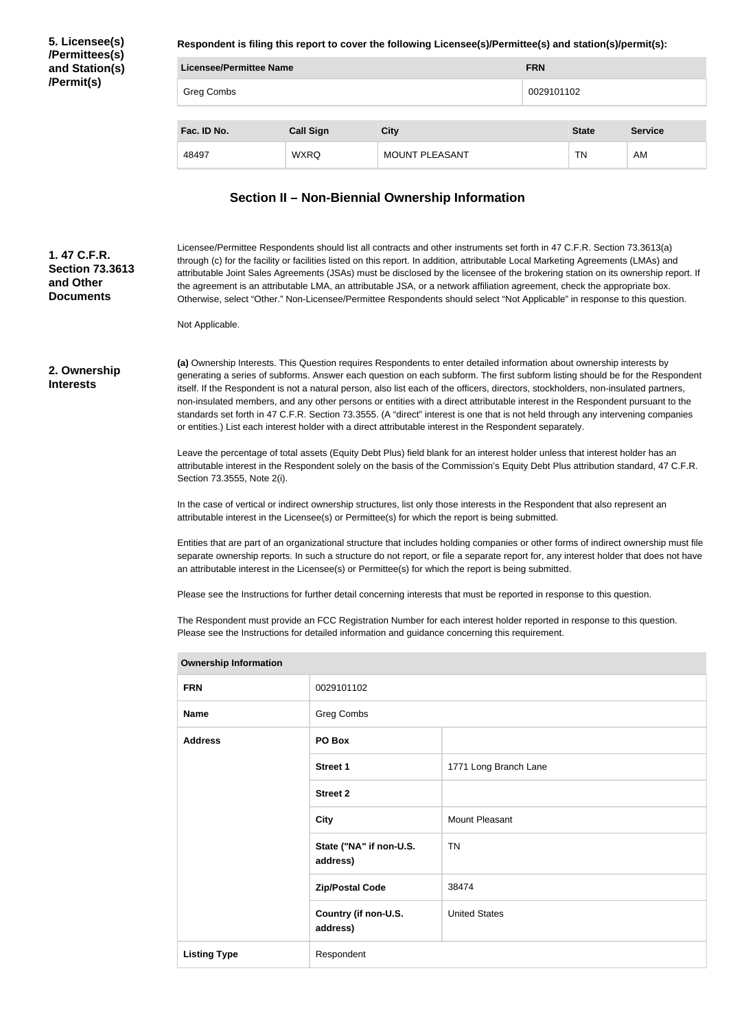**5. Licensee(s) /Permittees(s) and Station(s) /Permit(s)**

**Respondent is filing this report to cover the following Licensee(s)/Permittee(s) and station(s)/permit(s):**

| <b>FRN</b><br><b>Licensee/Permittee Name</b> |                  |                       |  |              |                |
|----------------------------------------------|------------------|-----------------------|--|--------------|----------------|
| Greg Combs                                   |                  |                       |  | 0029101102   |                |
| Fac. ID No.                                  | <b>Call Sign</b> | <b>City</b>           |  | <b>State</b> | <b>Service</b> |
| 48497                                        | <b>WXRQ</b>      | <b>MOUNT PLEASANT</b> |  | TN           | AM             |

## **Section II – Non-Biennial Ownership Information**

| 1.47 C.F.R.<br><b>Section 73.3613</b><br>and Other<br><b>Documents</b> | Not Applicable.                                                                                |                                                                                                                                                                                                                                                                                                                                                                                                                                                                                                                                                                                                                                                                                                                                                                                                                                                                                                                                                                                                                                                                                                                                                                                                                                                                                                                                                                                                                                                                                                                                                                                                                                                                                                                                                                                                                                                                                                                                          | Licensee/Permittee Respondents should list all contracts and other instruments set forth in 47 C.F.R. Section 73.3613(a)<br>through (c) for the facility or facilities listed on this report. In addition, attributable Local Marketing Agreements (LMAs) and<br>attributable Joint Sales Agreements (JSAs) must be disclosed by the licensee of the brokering station on its ownership report. If<br>the agreement is an attributable LMA, an attributable JSA, or a network affiliation agreement, check the appropriate box.<br>Otherwise, select "Other." Non-Licensee/Permittee Respondents should select "Not Applicable" in response to this question. |  |
|------------------------------------------------------------------------|------------------------------------------------------------------------------------------------|------------------------------------------------------------------------------------------------------------------------------------------------------------------------------------------------------------------------------------------------------------------------------------------------------------------------------------------------------------------------------------------------------------------------------------------------------------------------------------------------------------------------------------------------------------------------------------------------------------------------------------------------------------------------------------------------------------------------------------------------------------------------------------------------------------------------------------------------------------------------------------------------------------------------------------------------------------------------------------------------------------------------------------------------------------------------------------------------------------------------------------------------------------------------------------------------------------------------------------------------------------------------------------------------------------------------------------------------------------------------------------------------------------------------------------------------------------------------------------------------------------------------------------------------------------------------------------------------------------------------------------------------------------------------------------------------------------------------------------------------------------------------------------------------------------------------------------------------------------------------------------------------------------------------------------------|---------------------------------------------------------------------------------------------------------------------------------------------------------------------------------------------------------------------------------------------------------------------------------------------------------------------------------------------------------------------------------------------------------------------------------------------------------------------------------------------------------------------------------------------------------------------------------------------------------------------------------------------------------------|--|
| 2. Ownership<br><b>Interests</b>                                       | Section 73.3555, Note 2(i).                                                                    | (a) Ownership Interests. This Question requires Respondents to enter detailed information about ownership interests by<br>generating a series of subforms. Answer each question on each subform. The first subform listing should be for the Respondent<br>itself. If the Respondent is not a natural person, also list each of the officers, directors, stockholders, non-insulated partners,<br>non-insulated members, and any other persons or entities with a direct attributable interest in the Respondent pursuant to the<br>standards set forth in 47 C.F.R. Section 73.3555. (A "direct" interest is one that is not held through any intervening companies<br>or entities.) List each interest holder with a direct attributable interest in the Respondent separately.<br>Leave the percentage of total assets (Equity Debt Plus) field blank for an interest holder unless that interest holder has an<br>attributable interest in the Respondent solely on the basis of the Commission's Equity Debt Plus attribution standard, 47 C.F.R.<br>In the case of vertical or indirect ownership structures, list only those interests in the Respondent that also represent an<br>attributable interest in the Licensee(s) or Permittee(s) for which the report is being submitted.<br>Entities that are part of an organizational structure that includes holding companies or other forms of indirect ownership must file<br>separate ownership reports. In such a structure do not report, or file a separate report for, any interest holder that does not have<br>an attributable interest in the Licensee(s) or Permittee(s) for which the report is being submitted.<br>Please see the Instructions for further detail concerning interests that must be reported in response to this question.<br>The Respondent must provide an FCC Registration Number for each interest holder reported in response to this question. |                                                                                                                                                                                                                                                                                                                                                                                                                                                                                                                                                                                                                                                               |  |
|                                                                        | Please see the Instructions for detailed information and guidance concerning this requirement. |                                                                                                                                                                                                                                                                                                                                                                                                                                                                                                                                                                                                                                                                                                                                                                                                                                                                                                                                                                                                                                                                                                                                                                                                                                                                                                                                                                                                                                                                                                                                                                                                                                                                                                                                                                                                                                                                                                                                          |                                                                                                                                                                                                                                                                                                                                                                                                                                                                                                                                                                                                                                                               |  |
|                                                                        | <b>Ownership Information</b>                                                                   |                                                                                                                                                                                                                                                                                                                                                                                                                                                                                                                                                                                                                                                                                                                                                                                                                                                                                                                                                                                                                                                                                                                                                                                                                                                                                                                                                                                                                                                                                                                                                                                                                                                                                                                                                                                                                                                                                                                                          |                                                                                                                                                                                                                                                                                                                                                                                                                                                                                                                                                                                                                                                               |  |
|                                                                        | <b>FRN</b>                                                                                     | 0029101102                                                                                                                                                                                                                                                                                                                                                                                                                                                                                                                                                                                                                                                                                                                                                                                                                                                                                                                                                                                                                                                                                                                                                                                                                                                                                                                                                                                                                                                                                                                                                                                                                                                                                                                                                                                                                                                                                                                               |                                                                                                                                                                                                                                                                                                                                                                                                                                                                                                                                                                                                                                                               |  |
|                                                                        | <b>Name</b>                                                                                    | Greg Combs                                                                                                                                                                                                                                                                                                                                                                                                                                                                                                                                                                                                                                                                                                                                                                                                                                                                                                                                                                                                                                                                                                                                                                                                                                                                                                                                                                                                                                                                                                                                                                                                                                                                                                                                                                                                                                                                                                                               |                                                                                                                                                                                                                                                                                                                                                                                                                                                                                                                                                                                                                                                               |  |
|                                                                        | <b>Address</b>                                                                                 | PO Box                                                                                                                                                                                                                                                                                                                                                                                                                                                                                                                                                                                                                                                                                                                                                                                                                                                                                                                                                                                                                                                                                                                                                                                                                                                                                                                                                                                                                                                                                                                                                                                                                                                                                                                                                                                                                                                                                                                                   |                                                                                                                                                                                                                                                                                                                                                                                                                                                                                                                                                                                                                                                               |  |
|                                                                        |                                                                                                | <b>Street 1</b>                                                                                                                                                                                                                                                                                                                                                                                                                                                                                                                                                                                                                                                                                                                                                                                                                                                                                                                                                                                                                                                                                                                                                                                                                                                                                                                                                                                                                                                                                                                                                                                                                                                                                                                                                                                                                                                                                                                          | 1771 Long Branch Lane                                                                                                                                                                                                                                                                                                                                                                                                                                                                                                                                                                                                                                         |  |
|                                                                        |                                                                                                | <b>Street 2</b>                                                                                                                                                                                                                                                                                                                                                                                                                                                                                                                                                                                                                                                                                                                                                                                                                                                                                                                                                                                                                                                                                                                                                                                                                                                                                                                                                                                                                                                                                                                                                                                                                                                                                                                                                                                                                                                                                                                          |                                                                                                                                                                                                                                                                                                                                                                                                                                                                                                                                                                                                                                                               |  |
|                                                                        |                                                                                                | <b>City</b>                                                                                                                                                                                                                                                                                                                                                                                                                                                                                                                                                                                                                                                                                                                                                                                                                                                                                                                                                                                                                                                                                                                                                                                                                                                                                                                                                                                                                                                                                                                                                                                                                                                                                                                                                                                                                                                                                                                              | <b>Mount Pleasant</b>                                                                                                                                                                                                                                                                                                                                                                                                                                                                                                                                                                                                                                         |  |
|                                                                        |                                                                                                | State ("NA" if non-U.S.<br>address)                                                                                                                                                                                                                                                                                                                                                                                                                                                                                                                                                                                                                                                                                                                                                                                                                                                                                                                                                                                                                                                                                                                                                                                                                                                                                                                                                                                                                                                                                                                                                                                                                                                                                                                                                                                                                                                                                                      | <b>TN</b>                                                                                                                                                                                                                                                                                                                                                                                                                                                                                                                                                                                                                                                     |  |
|                                                                        |                                                                                                | <b>Zip/Postal Code</b>                                                                                                                                                                                                                                                                                                                                                                                                                                                                                                                                                                                                                                                                                                                                                                                                                                                                                                                                                                                                                                                                                                                                                                                                                                                                                                                                                                                                                                                                                                                                                                                                                                                                                                                                                                                                                                                                                                                   | 38474                                                                                                                                                                                                                                                                                                                                                                                                                                                                                                                                                                                                                                                         |  |
|                                                                        |                                                                                                | Country (if non-U.S.<br>address)                                                                                                                                                                                                                                                                                                                                                                                                                                                                                                                                                                                                                                                                                                                                                                                                                                                                                                                                                                                                                                                                                                                                                                                                                                                                                                                                                                                                                                                                                                                                                                                                                                                                                                                                                                                                                                                                                                         | <b>United States</b>                                                                                                                                                                                                                                                                                                                                                                                                                                                                                                                                                                                                                                          |  |
|                                                                        | <b>Listing Type</b>                                                                            | Respondent                                                                                                                                                                                                                                                                                                                                                                                                                                                                                                                                                                                                                                                                                                                                                                                                                                                                                                                                                                                                                                                                                                                                                                                                                                                                                                                                                                                                                                                                                                                                                                                                                                                                                                                                                                                                                                                                                                                               |                                                                                                                                                                                                                                                                                                                                                                                                                                                                                                                                                                                                                                                               |  |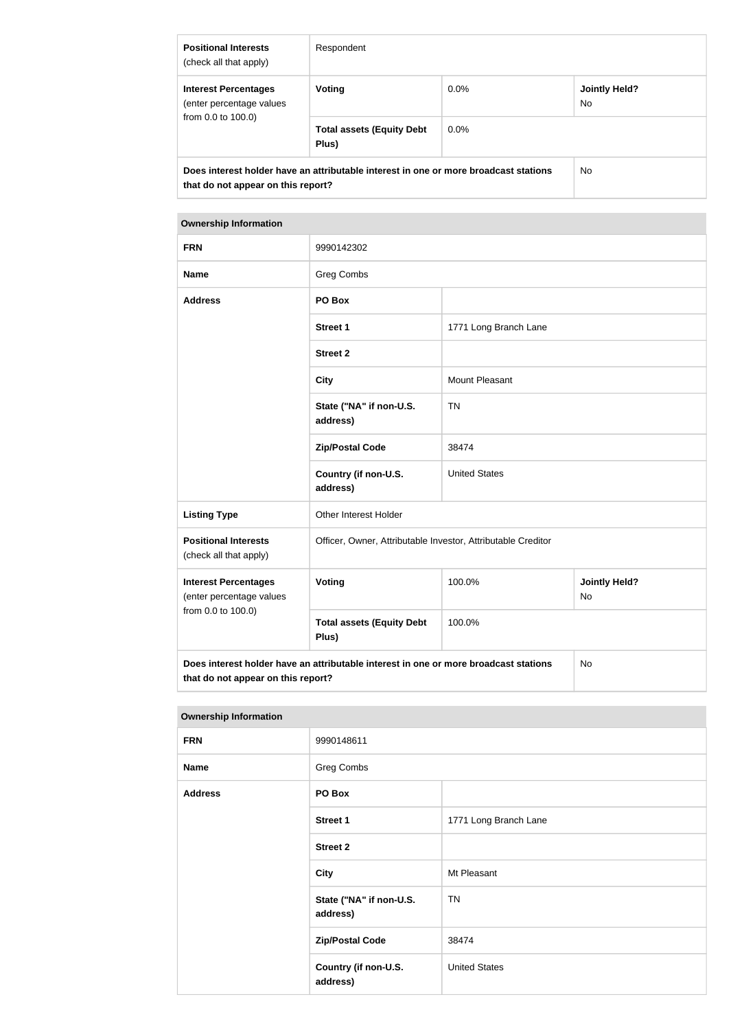| <b>Positional Interests</b><br>(check all that apply)                                                                             | Respondent                                |         |                      |
|-----------------------------------------------------------------------------------------------------------------------------------|-------------------------------------------|---------|----------------------|
| <b>Interest Percentages</b><br>(enter percentage values<br>from 0.0 to 100.0)                                                     | <b>Voting</b>                             | $0.0\%$ | Jointly Held?<br>No. |
|                                                                                                                                   | <b>Total assets (Equity Debt</b><br>Plus) | $0.0\%$ |                      |
| Does interest holder have an attributable interest in one or more broadcast stations<br>No.<br>that do not appear on this report? |                                           |         |                      |

#### **Ownership Information**

| <b>FRN</b>                                                                                                                              | 9990142302                                                   |                       |  |  |
|-----------------------------------------------------------------------------------------------------------------------------------------|--------------------------------------------------------------|-----------------------|--|--|
| <b>Name</b>                                                                                                                             | Greg Combs                                                   |                       |  |  |
| <b>Address</b>                                                                                                                          | PO Box                                                       |                       |  |  |
|                                                                                                                                         | <b>Street 1</b>                                              | 1771 Long Branch Lane |  |  |
|                                                                                                                                         | <b>Street 2</b>                                              |                       |  |  |
|                                                                                                                                         | <b>City</b>                                                  | Mount Pleasant        |  |  |
|                                                                                                                                         | State ("NA" if non-U.S.<br>address)                          | <b>TN</b>             |  |  |
|                                                                                                                                         | <b>Zip/Postal Code</b>                                       | 38474                 |  |  |
|                                                                                                                                         | Country (if non-U.S.<br>address)                             | <b>United States</b>  |  |  |
| <b>Listing Type</b>                                                                                                                     | Other Interest Holder                                        |                       |  |  |
| <b>Positional Interests</b><br>(check all that apply)                                                                                   | Officer, Owner, Attributable Investor, Attributable Creditor |                       |  |  |
| <b>Interest Percentages</b><br>(enter percentage values                                                                                 | 100.0%<br>Voting<br><b>Jointly Held?</b><br>No               |                       |  |  |
| from 0.0 to 100.0)                                                                                                                      | <b>Total assets (Equity Debt</b><br>Plus)                    | 100.0%                |  |  |
| Does interest holder have an attributable interest in one or more broadcast stations<br><b>No</b><br>that do not appear on this report? |                                                              |                       |  |  |

#### **Ownership Information**

| <b>FRN</b>     | 9990148611                          |                       |
|----------------|-------------------------------------|-----------------------|
| <b>Name</b>    | Greg Combs                          |                       |
| <b>Address</b> | PO Box                              |                       |
|                | <b>Street 1</b>                     | 1771 Long Branch Lane |
|                | <b>Street 2</b>                     |                       |
|                | <b>City</b>                         | Mt Pleasant           |
|                | State ("NA" if non-U.S.<br>address) | <b>TN</b>             |
|                | <b>Zip/Postal Code</b>              | 38474                 |
|                | Country (if non-U.S.<br>address)    | <b>United States</b>  |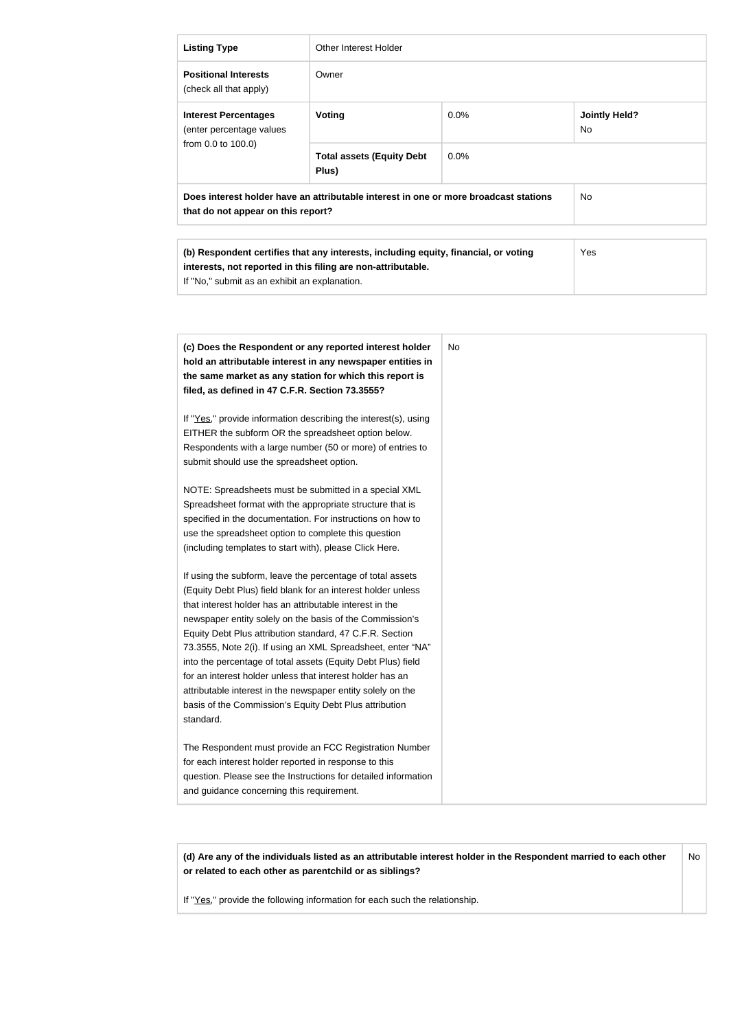| <b>Listing Type</b>                                                                                                                                                                                                                                                                                                 | <b>Other Interest Holder</b>                                                                                                                                                                                                                                                                                                                                                                                                               |      |                            |
|---------------------------------------------------------------------------------------------------------------------------------------------------------------------------------------------------------------------------------------------------------------------------------------------------------------------|--------------------------------------------------------------------------------------------------------------------------------------------------------------------------------------------------------------------------------------------------------------------------------------------------------------------------------------------------------------------------------------------------------------------------------------------|------|----------------------------|
| <b>Positional Interests</b><br>(check all that apply)                                                                                                                                                                                                                                                               | Owner                                                                                                                                                                                                                                                                                                                                                                                                                                      |      |                            |
| <b>Interest Percentages</b><br>(enter percentage values                                                                                                                                                                                                                                                             | Voting                                                                                                                                                                                                                                                                                                                                                                                                                                     | 0.0% | <b>Jointly Held?</b><br>No |
| from 0.0 to 100.0)                                                                                                                                                                                                                                                                                                  | <b>Total assets (Equity Debt</b><br>Plus)                                                                                                                                                                                                                                                                                                                                                                                                  | 0.0% |                            |
| that do not appear on this report?                                                                                                                                                                                                                                                                                  | Does interest holder have an attributable interest in one or more broadcast stations                                                                                                                                                                                                                                                                                                                                                       |      | No                         |
| If "No," submit as an exhibit an explanation.                                                                                                                                                                                                                                                                       | (b) Respondent certifies that any interests, including equity, financial, or voting<br>interests, not reported in this filing are non-attributable.                                                                                                                                                                                                                                                                                        |      | Yes                        |
| filed, as defined in 47 C.F.R. Section 73.3555?<br>EITHER the subform OR the spreadsheet option below.<br>submit should use the spreadsheet option.<br>use the spreadsheet option to complete this question                                                                                                         | hold an attributable interest in any newspaper entities in<br>the same market as any station for which this report is<br>If "Yes," provide information describing the interest(s), using<br>Respondents with a large number (50 or more) of entries to<br>NOTE: Spreadsheets must be submitted in a special XML<br>Spreadsheet format with the appropriate structure that is<br>specified in the documentation. For instructions on how to |      |                            |
| (including templates to start with), please Click Here.<br>that interest holder has an attributable interest in the<br>Equity Debt Plus attribution standard, 47 C.F.R. Section<br>for an interest holder unless that interest holder has an<br>basis of the Commission's Equity Debt Plus attribution<br>standard. | If using the subform, leave the percentage of total assets<br>(Equity Debt Plus) field blank for an interest holder unless<br>newspaper entity solely on the basis of the Commission's<br>73.3555, Note 2(i). If using an XML Spreadsheet, enter "NA"<br>into the percentage of total assets (Equity Debt Plus) field<br>attributable interest in the newspaper entity solely on the                                                       |      |                            |
| for each interest holder reported in response to this<br>and guidance concerning this requirement.                                                                                                                                                                                                                  | The Respondent must provide an FCC Registration Number<br>question. Please see the Instructions for detailed information                                                                                                                                                                                                                                                                                                                   |      |                            |

**(d) Are any of the individuals listed as an attributable interest holder in the Respondent married to each other or related to each other as parentchild or as siblings?** No

If "Yes," provide the following information for each such the relationship.